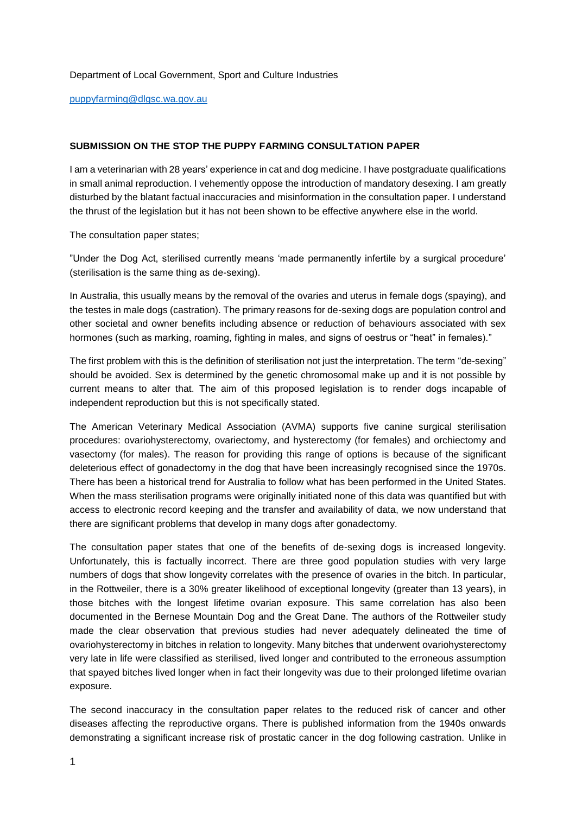## Department of Local Government, Sport and Culture Industries

[puppyfarming@dlgsc.wa.gov.au](mailto:puppyfarming@dlgsc.wa.gov.au) 

## **SUBMISSION ON THE STOP THE PUPPY FARMING CONSULTATION PAPER**

I am a veterinarian with 28 years' experience in cat and dog medicine. I have postgraduate qualifications in small animal reproduction. I vehemently oppose the introduction of mandatory desexing. I am greatly disturbed by the blatant factual inaccuracies and misinformation in the consultation paper. I understand the thrust of the legislation but it has not been shown to be effective anywhere else in the world.

The consultation paper states;

"Under the Dog Act, sterilised currently means 'made permanently infertile by a surgical procedure' (sterilisation is the same thing as de-sexing).

In Australia, this usually means by the removal of the ovaries and uterus in female dogs (spaying), and the testes in male dogs (castration). The primary reasons for de-sexing dogs are population control and other societal and owner benefits including absence or reduction of behaviours associated with sex hormones (such as marking, roaming, fighting in males, and signs of oestrus or "heat" in females)."

The first problem with this is the definition of sterilisation not just the interpretation. The term "de-sexing" should be avoided. Sex is determined by the genetic chromosomal make up and it is not possible by current means to alter that. The aim of this proposed legislation is to render dogs incapable of independent reproduction but this is not specifically stated.

The American Veterinary Medical Association (AVMA) supports five canine surgical sterilisation procedures: ovariohysterectomy, ovariectomy, and hysterectomy (for females) and orchiectomy and vasectomy (for males). The reason for providing this range of options is because of the significant deleterious effect of gonadectomy in the dog that have been increasingly recognised since the 1970s. There has been a historical trend for Australia to follow what has been performed in the United States. When the mass sterilisation programs were originally initiated none of this data was quantified but with access to electronic record keeping and the transfer and availability of data, we now understand that there are significant problems that develop in many dogs after gonadectomy.

The consultation paper states that one of the benefits of de-sexing dogs is increased longevity. Unfortunately, this is factually incorrect. There are three good population studies with very large numbers of dogs that show longevity correlates with the presence of ovaries in the bitch. In particular, in the Rottweiler, there is a 30% greater likelihood of exceptional longevity (greater than 13 years), in those bitches with the longest lifetime ovarian exposure. This same correlation has also been documented in the Bernese Mountain Dog and the Great Dane. The authors of the Rottweiler study made the clear observation that previous studies had never adequately delineated the time of ovariohysterectomy in bitches in relation to longevity. Many bitches that underwent ovariohysterectomy very late in life were classified as sterilised, lived longer and contributed to the erroneous assumption that spayed bitches lived longer when in fact their longevity was due to their prolonged lifetime ovarian exposure.

The second inaccuracy in the consultation paper relates to the reduced risk of cancer and other diseases affecting the reproductive organs. There is published information from the 1940s onwards demonstrating a significant increase risk of prostatic cancer in the dog following castration. Unlike in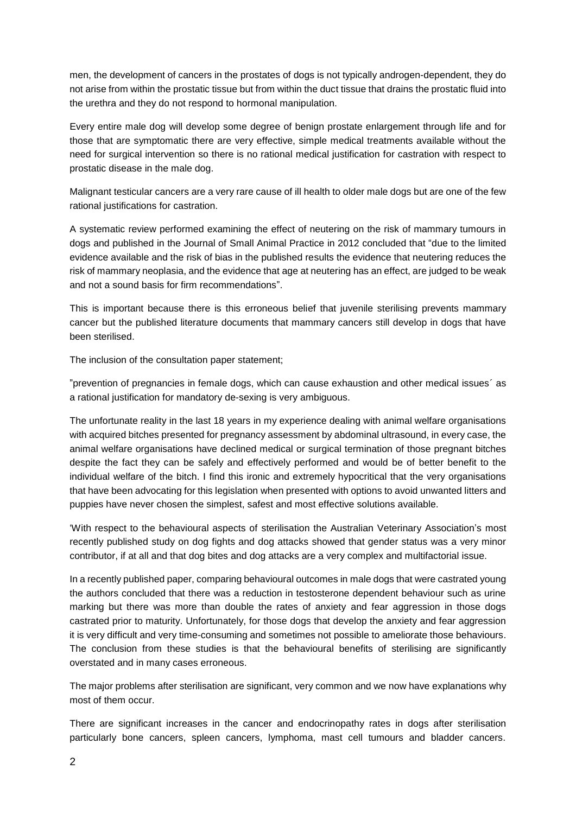men, the development of cancers in the prostates of dogs is not typically androgen-dependent, they do not arise from within the prostatic tissue but from within the duct tissue that drains the prostatic fluid into the urethra and they do not respond to hormonal manipulation.

Every entire male dog will develop some degree of benign prostate enlargement through life and for those that are symptomatic there are very effective, simple medical treatments available without the need for surgical intervention so there is no rational medical justification for castration with respect to prostatic disease in the male dog.

Malignant testicular cancers are a very rare cause of ill health to older male dogs but are one of the few rational justifications for castration.

A systematic review performed examining the effect of neutering on the risk of mammary tumours in dogs and published in the Journal of Small Animal Practice in 2012 concluded that "due to the limited evidence available and the risk of bias in the published results the evidence that neutering reduces the risk of mammary neoplasia, and the evidence that age at neutering has an effect, are judged to be weak and not a sound basis for firm recommendations".

This is important because there is this erroneous belief that juvenile sterilising prevents mammary cancer but the published literature documents that mammary cancers still develop in dogs that have been sterilised.

The inclusion of the consultation paper statement;

"prevention of pregnancies in female dogs, which can cause exhaustion and other medical issues´ as a rational justification for mandatory de-sexing is very ambiguous.

The unfortunate reality in the last 18 years in my experience dealing with animal welfare organisations with acquired bitches presented for pregnancy assessment by abdominal ultrasound, in every case, the animal welfare organisations have declined medical or surgical termination of those pregnant bitches despite the fact they can be safely and effectively performed and would be of better benefit to the individual welfare of the bitch. I find this ironic and extremely hypocritical that the very organisations that have been advocating for this legislation when presented with options to avoid unwanted litters and puppies have never chosen the simplest, safest and most effective solutions available.

'With respect to the behavioural aspects of sterilisation the Australian Veterinary Association's most recently published study on dog fights and dog attacks showed that gender status was a very minor contributor, if at all and that dog bites and dog attacks are a very complex and multifactorial issue.

In a recently published paper, comparing behavioural outcomes in male dogs that were castrated young the authors concluded that there was a reduction in testosterone dependent behaviour such as urine marking but there was more than double the rates of anxiety and fear aggression in those dogs castrated prior to maturity. Unfortunately, for those dogs that develop the anxiety and fear aggression it is very difficult and very time-consuming and sometimes not possible to ameliorate those behaviours. The conclusion from these studies is that the behavioural benefits of sterilising are significantly overstated and in many cases erroneous.

The major problems after sterilisation are significant, very common and we now have explanations why most of them occur.

There are significant increases in the cancer and endocrinopathy rates in dogs after sterilisation particularly bone cancers, spleen cancers, lymphoma, mast cell tumours and bladder cancers.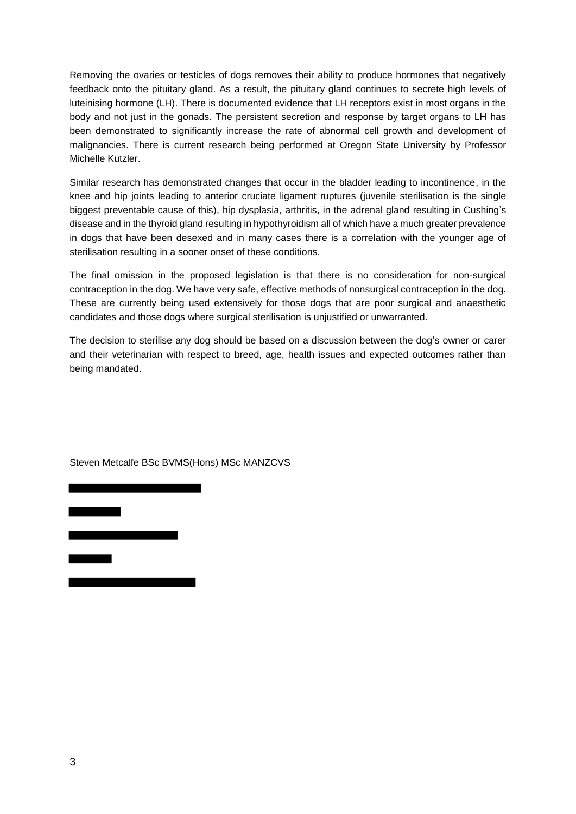Removing the ovaries or testicles of dogs removes their ability to produce hormones that negatively feedback onto the pituitary gland. As a result, the pituitary gland continues to secrete high levels of luteinising hormone (LH). There is documented evidence that LH receptors exist in most organs in the body and not just in the gonads. The persistent secretion and response by target organs to LH has been demonstrated to significantly increase the rate of abnormal cell growth and development of malignancies. There is current research being performed at Oregon State University by Professor Michelle Kutzler.

Similar research has demonstrated changes that occur in the bladder leading to incontinence, in the knee and hip joints leading to anterior cruciate ligament ruptures (juvenile sterilisation is the single biggest preventable cause of this), hip dysplasia, arthritis, in the adrenal gland resulting in Cushing's disease and in the thyroid gland resulting in hypothyroidism all of which have a much greater prevalence in dogs that have been desexed and in many cases there is a correlation with the younger age of sterilisation resulting in a sooner onset of these conditions.

The final omission in the proposed legislation is that there is no consideration for non-surgical contraception in the dog. We have very safe, effective methods of nonsurgical contraception in the dog. These are currently being used extensively for those dogs that are poor surgical and anaesthetic candidates and those dogs where surgical sterilisation is unjustified or unwarranted.

The decision to sterilise any dog should be based on a discussion between the dog's owner or carer and their veterinarian with respect to breed, age, health issues and expected outcomes rather than being mandated.

Steven Metcalfe BSc BVMS(Hons) MSc MANZCVS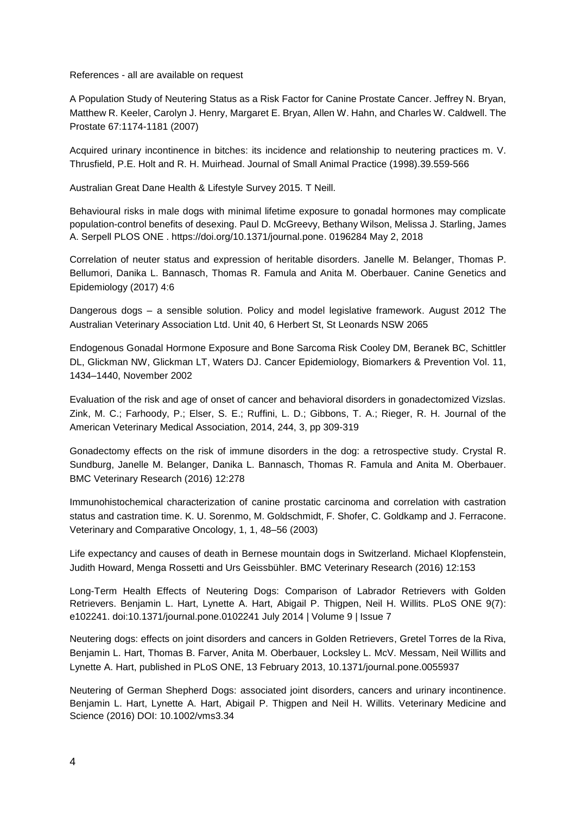References - all are available on request

A Population Study of Neutering Status as a Risk Factor for Canine Prostate Cancer. Jeffrey N. Bryan, Matthew R. Keeler, Carolyn J. Henry, Margaret E. Bryan, Allen W. Hahn, and Charles W. Caldwell. The Prostate 67:1174-1181 (2007)

Acquired urinary incontinence in bitches: its incidence and relationship to neutering practices m. V. Thrusfield, P.E. Holt and R. H. Muirhead. Journal of Small Animal Practice (1998).39.559-566

Australian Great Dane Health & Lifestyle Survey 2015. T Neill.

Behavioural risks in male dogs with minimal lifetime exposure to gonadal hormones may complicate population-control benefits of desexing. Paul D. McGreevy, Bethany Wilson, Melissa J. Starling, James A. Serpell PLOS ONE . https://doi.org/10.1371/journal.pone. 0196284 May 2, 2018

Correlation of neuter status and expression of heritable disorders. Janelle M. Belanger, Thomas P. Bellumori, Danika L. Bannasch, Thomas R. Famula and Anita M. Oberbauer. Canine Genetics and Epidemiology (2017) 4:6

Dangerous dogs – a sensible solution. Policy and model legislative framework. August 2012 The Australian Veterinary Association Ltd. Unit 40, 6 Herbert St, St Leonards NSW 2065

Endogenous Gonadal Hormone Exposure and Bone Sarcoma Risk Cooley DM, Beranek BC, Schittler DL, Glickman NW, Glickman LT, Waters DJ. Cancer Epidemiology, Biomarkers & Prevention Vol. 11, 1434–1440, November 2002

Evaluation of the risk and age of onset of cancer and behavioral disorders in gonadectomized Vizslas. Zink, M. C.; Farhoody, P.; Elser, S. E.; Ruffini, L. D.; Gibbons, T. A.; Rieger, R. H. Journal of the American Veterinary Medical Association, 2014, 244, 3, pp 309-319

Gonadectomy effects on the risk of immune disorders in the dog: a retrospective study. Crystal R. Sundburg, Janelle M. Belanger, Danika L. Bannasch, Thomas R. Famula and Anita M. Oberbauer. BMC Veterinary Research (2016) 12:278

Immunohistochemical characterization of canine prostatic carcinoma and correlation with castration status and castration time. K. U. Sorenmo, M. Goldschmidt, F. Shofer, C. Goldkamp and J. Ferracone. Veterinary and Comparative Oncology, 1, 1, 48–56 (2003)

Life expectancy and causes of death in Bernese mountain dogs in Switzerland. Michael Klopfenstein, Judith Howard, Menga Rossetti and Urs Geissbühler. BMC Veterinary Research (2016) 12:153

Long-Term Health Effects of Neutering Dogs: Comparison of Labrador Retrievers with Golden Retrievers. Benjamin L. Hart, Lynette A. Hart, Abigail P. Thigpen, Neil H. Willits. PLoS ONE 9(7): e102241. doi:10.1371/journal.pone.0102241 July 2014 | Volume 9 | Issue 7

Neutering dogs: effects on joint disorders and cancers in Golden Retrievers, Gretel Torres de la Riva, Benjamin L. Hart, Thomas B. Farver, Anita M. Oberbauer, Locksley L. McV. Messam, Neil Willits and Lynette A. Hart, published in PLoS ONE, 13 February 2013, 10.1371/journal.pone.0055937

Neutering of German Shepherd Dogs: associated joint disorders, cancers and urinary incontinence. Benjamin L. Hart, Lynette A. Hart, Abigail P. Thigpen and Neil H. Willits. Veterinary Medicine and Science (2016) DOI: 10.1002/vms3.34